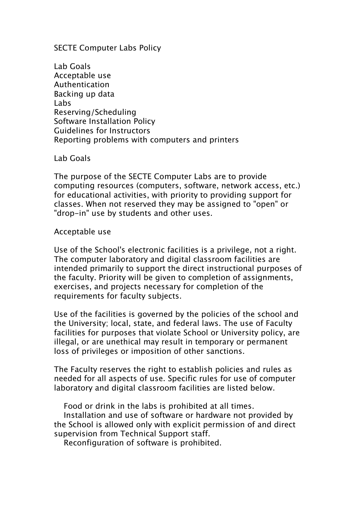SECTE Computer Labs Policy

Lab Goals Acceptable use Authentication Backing up data Labs Reserving/Scheduling Software Installation Policy Guidelines for Instructors Reporting problems with computers and printers

Lab Goals

The purpose of the SECTE Computer Labs are to provide computing resources (computers, software, network access, etc.) for educational activities, with priority to providing support for classes. When not reserved they may be assigned to "open" or "drop-in" use by students and other uses.

## Acceptable use

Use of the School's electronic facilities is a privilege, not a right. The computer laboratory and digital classroom facilities are intended primarily to support the direct instructional purposes of the faculty. Priority will be given to completion of assignments, exercises, and projects necessary for completion of the requirements for faculty subjects.

Use of the facilities is governed by the policies of the school and the University; local, state, and federal laws. The use of Faculty facilities for purposes that violate School or University policy, are illegal, or are unethical may result in temporary or permanent loss of privileges or imposition of other sanctions.

The Faculty reserves the right to establish policies and rules as needed for all aspects of use. Specific rules for use of computer laboratory and digital classroom facilities are listed below.

Food or drink in the labs is prohibited at all times.

Installation and use of software or hardware not provided by the School is allowed only with explicit permission of and direct supervision from Technical Support staff.

Reconfiguration of software is prohibited.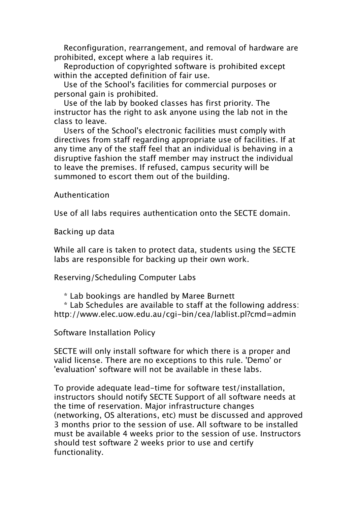Reconfiguration, rearrangement, and removal of hardware are prohibited, except where a lab requires it.

Reproduction of copyrighted software is prohibited except within the accepted definition of fair use.

Use of the School's facilities for commercial purposes or personal gain is prohibited.

Use of the lab by booked classes has first priority. The instructor has the right to ask anyone using the lab not in the class to leave.

Users of the School's electronic facilities must comply with directives from staff regarding appropriate use of facilities. If at any time any of the staff feel that an individual is behaving in a disruptive fashion the staff member may instruct the individual to leave the premises. If refused, campus security will be summoned to escort them out of the building.

## Authentication

Use of all labs requires authentication onto the SECTE domain.

Backing up data

While all care is taken to protect data, students using the SECTE labs are responsible for backing up their own work.

Reserving/Scheduling Computer Labs

\* Lab bookings are handled by Maree Burnett

\* Lab Schedules are available to staff at the following address: http://www.elec.uow.edu.au/cgi-bin/cea/lablist.pl?cmd=admin

Software Installation Policy

SECTE will only install software for which there is a proper and valid license. There are no exceptions to this rule. 'Demo' or 'evaluation' software will not be available in these labs.

To provide adequate lead-time for software test/installation, instructors should notify SECTE Support of all software needs at the time of reservation. Major infrastructure changes (networking, OS alterations, etc) must be discussed and approved 3 months prior to the session of use. All software to be installed must be available 4 weeks prior to the session of use. Instructors should test software 2 weeks prior to use and certify functionality.